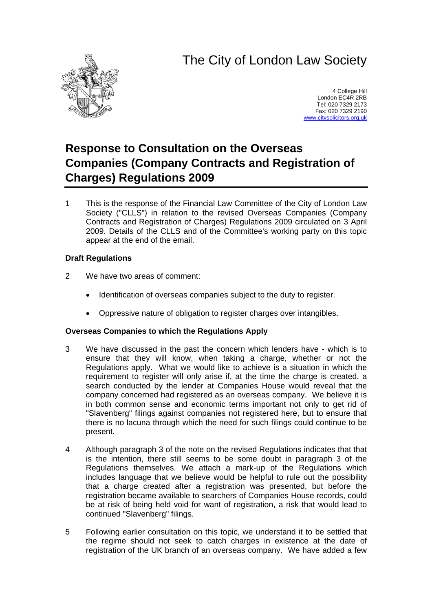# The City of London Law Society



4 College Hill London EC4R 2RB Tel: 020 7329 2173 Fax: 020 7329 2190 [www.citysolicitors.org.uk](http://www.citysolicitors.org.uk/)

# **Response to Consultation on the Overseas Companies (Company Contracts and Registration of Charges) Regulations 2009**

1 This is the response of the Financial Law Committee of the City of London Law Society ("CLLS") in relation to the revised Overseas Companies (Company Contracts and Registration of Charges) Regulations 2009 circulated on 3 April 2009. Details of the CLLS and of the Committee's working party on this topic appear at the end of the email.

## **Draft Regulations**

- 2 We have two areas of comment:
	- Identification of overseas companies subject to the duty to register.
	- Oppressive nature of obligation to register charges over intangibles.

### **Overseas Companies to which the Regulations Apply**

- 3 We have discussed in the past the concern which lenders have which is to ensure that they will know, when taking a charge, whether or not the Regulations apply. What we would like to achieve is a situation in which the requirement to register will only arise if, at the time the charge is created, a search conducted by the lender at Companies House would reveal that the company concerned had registered as an overseas company. We believe it is in both common sense and economic terms important not only to get rid of "Slavenberg" filings against companies not registered here, but to ensure that there is no lacuna through which the need for such filings could continue to be present.
- 4 Although paragraph 3 of the note on the revised Regulations indicates that that is the intention, there still seems to be some doubt in paragraph 3 of the Regulations themselves. We attach a mark-up of the Regulations which includes language that we believe would be helpful to rule out the possibility that a charge created after a registration was presented, but before the registration became available to searchers of Companies House records, could be at risk of being held void for want of registration, a risk that would lead to continued "Slavenberg" filings.
- 5 Following earlier consultation on this topic, we understand it to be settled that the regime should not seek to catch charges in existence at the date of registration of the UK branch of an overseas company. We have added a few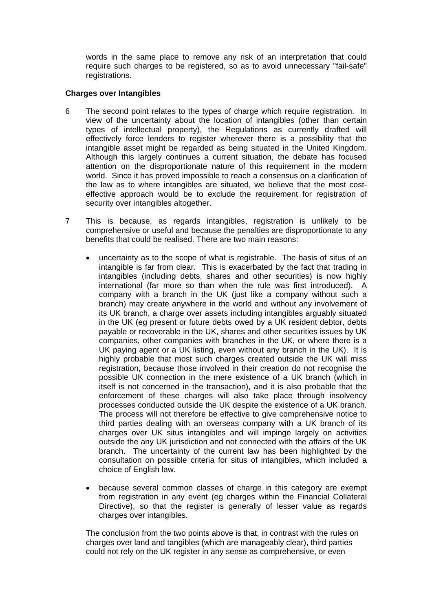words in the same place to remove any risk of an interpretation that could require such charges to be registered, so as to avoid unnecessary "fail-safe" registrations.

#### **Charges over Intangibles**

- 6 The second point relates to the types of charge which require registration. In view of the uncertainty about the location of intangibles (other than certain types of intellectual property), the Regulations as currently drafted will effectively force lenders to register wherever there is a possibility that the intangible asset might be regarded as being situated in the United Kingdom. Although this largely continues a current situation, the debate has focused attention on the disproportionate nature of this requirement in the modern world. Since it has proved impossible to reach a consensus on a clarification of the law as to where intangibles are situated, we believe that the most costeffective approach would be to exclude the requirement for registration of security over intangibles altogether.
- 7 This is because, as regards intangibles, registration is unlikely to be comprehensive or useful and because the penalties are disproportionate to any benefits that could be realised. There are two main reasons:
	- uncertainty as to the scope of what is registrable. The basis of situs of an intangible is far from clear. This is exacerbated by the fact that trading in intangibles (including debts, shares and other securities) is now highly international (far more so than when the rule was first introduced). A company with a branch in the UK (just like a company without such a branch) may create anywhere in the world and without any involvement of its UK branch, a charge over assets including intangibles arguably situated in the UK (eg present or future debts owed by a UK resident debtor, debts payable or recoverable in the UK, shares and other securities issues by UK companies, other companies with branches in the UK, or where there is a UK paying agent or a UK listing, even without any branch in the UK). It is highly probable that most such charges created outside the UK will miss registration, because those involved in their creation do not recognise the possible UK connection in the mere existence of a UK branch (which in itself is not concerned in the transaction), and it is also probable that the enforcement of these charges will also take place through insolvency processes conducted outside the UK despite the existence of a UK branch. The process will not therefore be effective to give comprehensive notice to third parties dealing with an overseas company with a UK branch of its charges over UK situs intangibles and will impinge largely on activities outside the any UK jurisdiction and not connected with the affairs of the UK branch. The uncertainty of the current law has been highlighted by the consultation on possible criteria for situs of intangibles, which included a choice of English law.
	- because several common classes of charge in this category are exempt from registration in any event (eg charges within the Financial Collateral Directive), so that the register is generally of lesser value as regards charges over intangibles.

The conclusion from the two points above is that, in contrast with the rules on charges over land and tangibles (which are manageably clear), third parties could not rely on the UK register in any sense as comprehensive, or even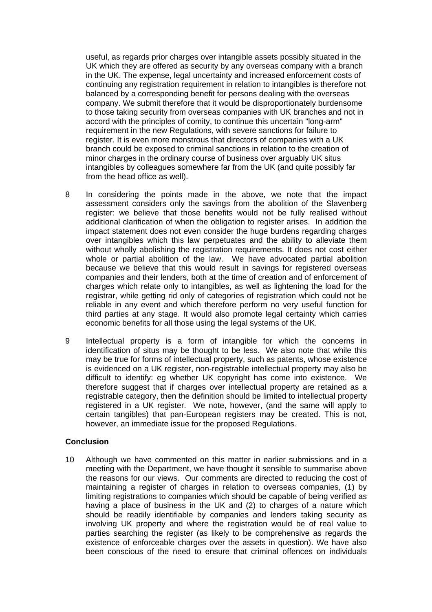useful, as regards prior charges over intangible assets possibly situated in the UK which they are offered as security by any overseas company with a branch in the UK. The expense, legal uncertainty and increased enforcement costs of continuing any registration requirement in relation to intangibles is therefore not balanced by a corresponding benefit for persons dealing with the overseas company. We submit therefore that it would be disproportionately burdensome to those taking security from overseas companies with UK branches and not in accord with the principles of comity, to continue this uncertain "long-arm" requirement in the new Regulations, with severe sanctions for failure to register. It is even more monstrous that directors of companies with a UK branch could be exposed to criminal sanctions in relation to the creation of minor charges in the ordinary course of business over arguably UK situs intangibles by colleagues somewhere far from the UK (and quite possibly far from the head office as well).

- 8 In considering the points made in the above, we note that the impact assessment considers only the savings from the abolition of the Slavenberg register: we believe that those benefits would not be fully realised without additional clarification of when the obligation to register arises. In addition the impact statement does not even consider the huge burdens regarding charges over intangibles which this law perpetuates and the ability to alleviate them without wholly abolishing the registration requirements. It does not cost either whole or partial abolition of the law. We have advocated partial abolition because we believe that this would result in savings for registered overseas companies and their lenders, both at the time of creation and of enforcement of charges which relate only to intangibles, as well as lightening the load for the registrar, while getting rid only of categories of registration which could not be reliable in any event and which therefore perform no very useful function for third parties at any stage. It would also promote legal certainty which carries economic benefits for all those using the legal systems of the UK.
- 9 Intellectual property is a form of intangible for which the concerns in identification of situs may be thought to be less. We also note that while this may be true for forms of intellectual property, such as patents, whose existence is evidenced on a UK register, non-registrable intellectual property may also be difficult to identify: eg whether UK copyright has come into existence. We therefore suggest that if charges over intellectual property are retained as a registrable category, then the definition should be limited to intellectual property registered in a UK register. We note, however, (and the same will apply to certain tangibles) that pan-European registers may be created. This is not, however, an immediate issue for the proposed Regulations.

#### **Conclusion**

10 Although we have commented on this matter in earlier submissions and in a meeting with the Department, we have thought it sensible to summarise above the reasons for our views. Our comments are directed to reducing the cost of maintaining a register of charges in relation to overseas companies, (1) by limiting registrations to companies which should be capable of being verified as having a place of business in the UK and (2) to charges of a nature which should be readily identifiable by companies and lenders taking security as involving UK property and where the registration would be of real value to parties searching the register (as likely to be comprehensive as regards the existence of enforceable charges over the assets in question). We have also been conscious of the need to ensure that criminal offences on individuals